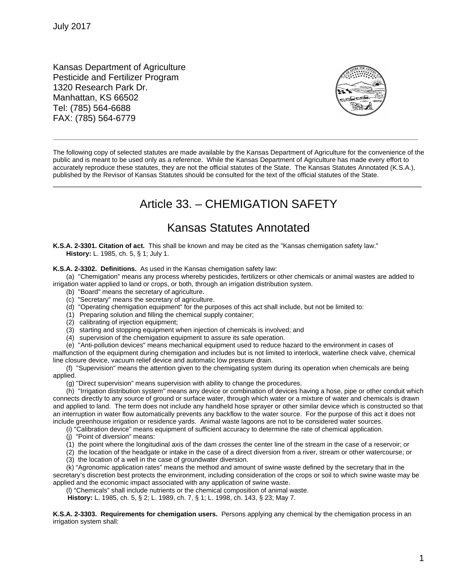Kansas Department of Agriculture Pesticide and Fertilizer Program 1320 Research Park Dr. Manhattan, KS 66502 Tel: (785) 564-6688 FAX: (785) 564-6779



The following copy of selected statutes are made available by the Kansas Department of Agriculture for the convenience of the public and is meant to be used only as a reference. While the Kansas Department of Agriculture has made every effort to accurately reproduce these statutes, they are not the official statutes of the State. The Kansas Statutes Annotated (K.S.A.), published by the Revisor of Kansas Statutes should be consulted for the text of the official statutes of the State.

\_\_\_\_\_\_\_\_\_\_\_\_\_\_\_\_\_\_\_\_\_\_\_\_\_\_\_\_\_\_\_\_\_\_\_\_\_\_\_\_\_\_\_\_\_\_\_\_\_\_\_\_\_\_\_\_\_\_\_\_\_\_\_\_\_\_\_\_\_\_\_\_\_\_\_\_\_\_\_\_\_\_\_\_\_\_\_\_\_\_

**\_\_\_\_\_\_\_\_\_\_\_\_\_\_\_\_\_\_\_\_\_\_\_\_\_\_\_\_\_\_\_\_\_\_\_\_\_\_\_\_\_\_\_\_\_\_\_\_\_\_\_\_\_\_\_\_\_\_\_\_\_\_\_\_\_\_\_\_\_\_\_\_\_\_\_\_\_\_\_\_\_\_\_\_\_\_\_\_\_\_\_\_\_\_\_\_\_\_\_**

## Article 33. – CHEMIGATION SAFETY

## Kansas Statutes Annotated

**K.S.A. 2-3301. Citation of act.** This shall be known and may be cited as the "Kansas chemigation safety law." **History:** L. 1985, ch. 5, § 1; July 1.

## **K.S.A. 2-3302. Definitions.** As used in the Kansas chemigation safety law:

(a) "Chemigation" means any process whereby pesticides, fertilizers or other chemicals or animal wastes are added to irrigation water applied to land or crops, or both, through an irrigation distribution system.

- (b) "Board" means the secretary of agriculture.
- (c) "Secretary" means the secretary of agriculture.
- (d) "Operating chemigation equipment" for the purposes of this act shall include, but not be limited to:
- (1) Preparing solution and filling the chemical supply container;
- (2) calibrating of injection equipment;
- (3) starting and stopping equipment when injection of chemicals is involved; and
- (4) supervision of the chemigation equipment to assure its safe operation.

(e) "Anti-pollution devices" means mechanical equipment used to reduce hazard to the environment in cases of malfunction of the equipment during chemigation and includes but is not limited to interlock, waterline check valve, chemical line closure device, vacuum relief device and automatic low pressure drain.

(f) "Supervision" means the attention given to the chemigating system during its operation when chemicals are being applied.

(g) "Direct supervision" means supervision with ability to change the procedures.

(h) "Irrigation distribution system" means any device or combination of devices having a hose, pipe or other conduit which connects directly to any source of ground or surface water, through which water or a mixture of water and chemicals is drawn and applied to land. The term does not include any handheld hose sprayer or other similar device which is constructed so that an interruption in water flow automatically prevents any backflow to the water source. For the purpose of this act it does not include greenhouse irrigation or residence yards. Animal waste lagoons are not to be considered water sources.

(i) "Calibration device" means equipment of sufficient accuracy to determine the rate of chemical application.

- (j) "Point of diversion" means:
- (1) the point where the longitudinal axis of the dam crosses the center line of the stream in the case of a reservoir; or
- (2) the location of the headgate or intake in the case of a direct diversion from a river, stream or other watercourse; or
- (3) the location of a well in the case of groundwater diversion.

(k) "Agronomic application rates" means the method and amount of swine waste defined by the secretary that in the secretary's discretion best protects the environment, including consideration of the crops or soil to which swine waste may be applied and the economic impact associated with any application of swine waste.

(l) "Chemicals" shall include nutrients or the chemical composition of animal waste.

**History:** L. 1985, ch. 5, § 2; L. 1989, ch. 7, § 1; L. 1998, ch. 143, § 23; May 7.

**K.S.A. 2-3303. Requirements for chemigation users.** Persons applying any chemical by the chemigation process in an irrigation system shall: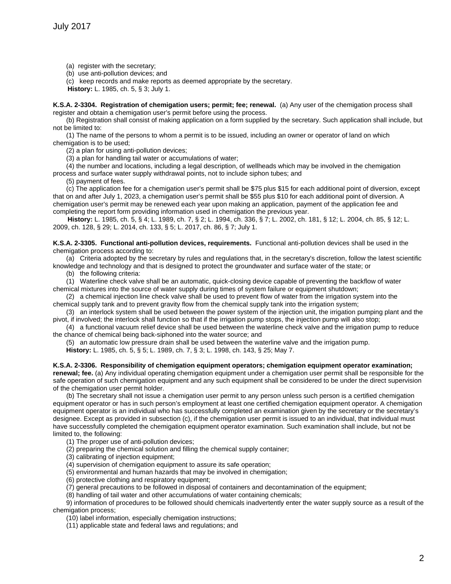- (a) register with the secretary;
- (b) use anti-pollution devices; and

(c) keep records and make reports as deemed appropriate by the secretary.

**History:** L. 1985, ch. 5, § 3; July 1.

**K.S.A. 2-3304. Registration of chemigation users; permit; fee; renewal.** (a) Any user of the chemigation process shall register and obtain a chemigation user's permit before using the process.

(b) Registration shall consist of making application on a form supplied by the secretary. Such application shall include, but not be limited to:

(1) The name of the persons to whom a permit is to be issued, including an owner or operator of land on which chemigation is to be used;

(2) a plan for using anti-pollution devices;

(3) a plan for handling tail water or accumulations of water;

(4) the number and locations, including a legal description, of wellheads which may be involved in the chemigation process and surface water supply withdrawal points, not to include siphon tubes; and

(5) payment of fees.

(c) The application fee for a chemigation user's permit shall be \$75 plus \$15 for each additional point of diversion, except that on and after July 1, 2023, a chemigation user's permit shall be \$55 plus \$10 for each additional point of diversion. A chemigation user's permit may be renewed each year upon making an application, payment of the application fee and completing the report form providing information used in chemigation the previous year.

**History:** L. 1985, ch. 5, § 4; L. 1989, ch. 7, § 2; L. 1994, ch. 336, § 7; L. 2002, ch. 181, § 12; L. 2004, ch. 85, § 12; L. 2009, ch. 128, § 29; L. 2014, ch. 133, § 5; L. 2017, ch. 86, § 7; July 1.

**K.S.A. 2-3305. Functional anti-pollution devices, requirements.** Functional anti-pollution devices shall be used in the chemigation process according to:

(a) Criteria adopted by the secretary by rules and regulations that, in the secretary's discretion, follow the latest scientific knowledge and technology and that is designed to protect the groundwater and surface water of the state; or

(b) the following criteria:

(1) Waterline check valve shall be an automatic, quick-closing device capable of preventing the backflow of water chemical mixtures into the source of water supply during times of system failure or equipment shutdown;

(2) a chemical injection line check valve shall be used to prevent flow of water from the irrigation system into the chemical supply tank and to prevent gravity flow from the chemical supply tank into the irrigation system;

(3) an interlock system shall be used between the power system of the injection unit, the irrigation pumping plant and the pivot, if involved; the interlock shall function so that if the irrigation pump stops, the injection pump will also stop;

(4) a functional vacuum relief device shall be used between the waterline check valve and the irrigation pump to reduce the chance of chemical being back-siphoned into the water source; and

(5) an automatic low pressure drain shall be used between the waterline valve and the irrigation pump.

**History:** L. 1985, ch. 5, § 5; L. 1989, ch. 7, § 3; L. 1998, ch. 143, § 25; May 7.

**K.S.A. 2-3306. Responsibility of chemigation equipment operators; chemigation equipment operator examination; renewal; fee.** (a) Any individual operating chemigation equipment under a chemigation user permit shall be responsible for the safe operation of such chemigation equipment and any such equipment shall be considered to be under the direct supervision of the chemigation user permit holder.

(b) The secretary shall not issue a chemigation user permit to any person unless such person is a certified chemigation equipment operator or has in such person's employment at least one certified chemigation equipment operator. A chemigation equipment operator is an individual who has successfully completed an examination given by the secretary or the secretary's designee. Except as provided in subsection (c), if the chemigation user permit is issued to an individual, that individual must have successfully completed the chemigation equipment operator examination. Such examination shall include, but not be limited to, the following:

(1) The proper use of anti-pollution devices;

(2) preparing the chemical solution and filling the chemical supply container;

(3) calibrating of injection equipment;

(4) supervision of chemigation equipment to assure its safe operation;

(5) environmental and human hazards that may be involved in chemigation;

(6) protective clothing and respiratory equipment;

(7) general precautions to be followed in disposal of containers and decontamination of the equipment;

(8) handling of tail water and other accumulations of water containing chemicals;

9) information of procedures to be followed should chemicals inadvertently enter the water supply source as a result of the chemigation process;

(10) label information, especially chemigation instructions;

(11) applicable state and federal laws and regulations; and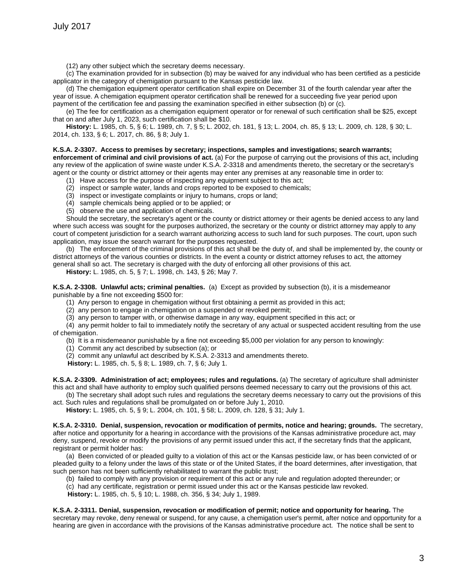(12) any other subject which the secretary deems necessary.

(c) The examination provided for in subsection (b) may be waived for any individual who has been certified as a pesticide applicator in the category of chemigation pursuant to the Kansas pesticide law.

(d) The chemigation equipment operator certification shall expire on December 31 of the fourth calendar year after the year of issue. A chemigation equipment operator certification shall be renewed for a succeeding five year period upon payment of the certification fee and passing the examination specified in either subsection (b) or (c).

(e) The fee for certification as a chemigation equipment operator or for renewal of such certification shall be \$25, except that on and after July 1, 2023, such certification shall be \$10.

**History:** L. 1985, ch. 5, § 6; L. 1989, ch. 7, § 5; L. 2002, ch. 181, § 13; L. 2004, ch. 85, § 13; L. 2009, ch. 128, § 30; L. 2014, ch. 133, § 6; L. 2017, ch. 86, § 8; July 1.

## **K.S.A. 2-3307. Access to premises by secretary; inspections, samples and investigations; search warrants;**

**enforcement of criminal and civil provisions of act.** (a) For the purpose of carrying out the provisions of this act, including any review of the application of swine waste under K.S.A. 2-3318 and amendments thereto, the secretary or the secretary's agent or the county or district attorney or their agents may enter any premises at any reasonable time in order to:

- (1) Have access for the purpose of inspecting any equipment subject to this act;
- (2) inspect or sample water, lands and crops reported to be exposed to chemicals;
- (3) inspect or investigate complaints or injury to humans, crops or land;
- (4) sample chemicals being applied or to be applied; or
- (5) observe the use and application of chemicals.

Should the secretary, the secretary's agent or the county or district attorney or their agents be denied access to any land where such access was sought for the purposes authorized, the secretary or the county or district attorney may apply to any court of competent jurisdiction for a search warrant authorizing access to such land for such purposes. The court, upon such application, may issue the search warrant for the purposes requested.

(b) The enforcement of the criminal provisions of this act shall be the duty of, and shall be implemented by, the county or district attorneys of the various counties or districts. In the event a county or district attorney refuses to act, the attorney general shall so act. The secretary is charged with the duty of enforcing all other provisions of this act.

**History:** L. 1985, ch. 5, § 7; L. 1998, ch. 143, § 26; May 7.

**K.S.A. 2-3308. Unlawful acts; criminal penalties.** (a) Except as provided by subsection (b), it is a misdemeanor punishable by a fine not exceeding \$500 for:

(1) Any person to engage in chemigation without first obtaining a permit as provided in this act;

(2) any person to engage in chemigation on a suspended or revoked permit;

(3) any person to tamper with, or otherwise damage in any way, equipment specified in this act; or

(4) any permit holder to fail to immediately notify the secretary of any actual or suspected accident resulting from the use of chemigation.

(b) It is a misdemeanor punishable by a fine not exceeding \$5,000 per violation for any person to knowingly:

(1) Commit any act described by subsection (a); or

(2) commit any unlawful act described by K.S.A. 2-3313 and amendments thereto.

**History:** L. 1985, ch. 5, § 8; L. 1989, ch. 7, § 6; July 1.

**K.S.A. 2-3309. Administration of act; employees; rules and regulations.** (a) The secretary of agriculture shall administer this act and shall have authority to employ such qualified persons deemed necessary to carry out the provisions of this act.

(b) The secretary shall adopt such rules and regulations the secretary deems necessary to carry out the provisions of this act. Such rules and regulations shall be promulgated on or before July 1, 2010.

**History:** L. 1985, ch. 5, § 9; L. 2004, ch. 101, § 58; L. 2009, ch. 128, § 31; July 1.

**K.S.A. 2-3310. Denial, suspension, revocation or modification of permits, notice and hearing; grounds.** The secretary, after notice and opportunity for a hearing in accordance with the provisions of the Kansas administrative procedure act, may deny, suspend, revoke or modify the provisions of any permit issued under this act, if the secretary finds that the applicant, registrant or permit holder has:

(a) Been convicted of or pleaded guilty to a violation of this act or the Kansas pesticide law, or has been convicted of or pleaded guilty to a felony under the laws of this state or of the United States, if the board determines, after investigation, that such person has not been sufficiently rehabilitated to warrant the public trust;

(b) failed to comply with any provision or requirement of this act or any rule and regulation adopted thereunder; or

(c) had any certificate, registration or permit issued under this act or the Kansas pesticide law revoked.

**History:** L. 1985, ch. 5, § 10; L. 1988, ch. 356, § 34; July 1, 1989.

**K.S.A. 2-3311. Denial, suspension, revocation or modification of permit; notice and opportunity for hearing.** The secretary may revoke, deny renewal or suspend, for any cause, a chemigation user's permit, after notice and opportunity for a hearing are given in accordance with the provisions of the Kansas administrative procedure act. The notice shall be sent to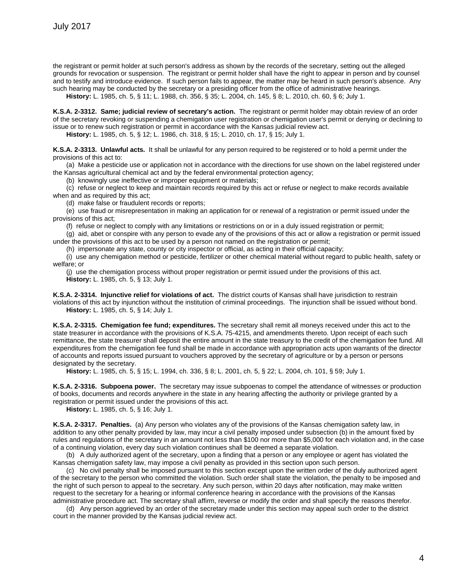the registrant or permit holder at such person's address as shown by the records of the secretary, setting out the alleged grounds for revocation or suspension. The registrant or permit holder shall have the right to appear in person and by counsel and to testify and introduce evidence. If such person fails to appear, the matter may be heard in such person's absence. Any such hearing may be conducted by the secretary or a presiding officer from the office of administrative hearings.

**History:** L. 1985, ch. 5, § 11; L. 1988, ch. 356, § 35; L. 2004, ch. 145, § 8; L. 2010, ch. 60, § 6; July 1.

**K.S.A. 2-3312. Same; judicial review of secretary's action.** The registrant or permit holder may obtain review of an order of the secretary revoking or suspending a chemigation user registration or chemigation user's permit or denying or declining to issue or to renew such registration or permit in accordance with the Kansas judicial review act.

**History:** L. 1985, ch. 5, § 12; L. 1986, ch. 318, § 15; L. 2010, ch. 17, § 15; July 1.

**K.S.A. 2-3313. Unlawful acts.** It shall be unlawful for any person required to be registered or to hold a permit under the provisions of this act to:

(a) Make a pesticide use or application not in accordance with the directions for use shown on the label registered under the Kansas agricultural chemical act and by the federal environmental protection agency;

(b) knowingly use ineffective or improper equipment or materials;

(c) refuse or neglect to keep and maintain records required by this act or refuse or neglect to make records available when and as required by this act;

(d) make false or fraudulent records or reports;

(e) use fraud or misrepresentation in making an application for or renewal of a registration or permit issued under the provisions of this act;

(f) refuse or neglect to comply with any limitations or restrictions on or in a duly issued registration or permit;

(g) aid, abet or conspire with any person to evade any of the provisions of this act or allow a registration or permit issued under the provisions of this act to be used by a person not named on the registration or permit;

(h) impersonate any state, county or city inspector or official, as acting in their official capacity;

(i) use any chemigation method or pesticide, fertilizer or other chemical material without regard to public health, safety or welfare; or

(j) use the chemigation process without proper registration or permit issued under the provisions of this act. **History:** L. 1985, ch. 5, § 13; July 1.

**K.S.A. 2-3314. Injunctive relief for violations of act.** The district courts of Kansas shall have jurisdiction to restrain violations of this act by injunction without the institution of criminal proceedings. The injunction shall be issued without bond. **History:** L. 1985, ch. 5, § 14; July 1.

**K.S.A. 2-3315. Chemigation fee fund; expenditures.** The secretary shall remit all moneys received under this act to the state treasurer in accordance with the provisions of K.S.A. 75-4215, and amendments thereto. Upon receipt of each such remittance, the state treasurer shall deposit the entire amount in the state treasury to the credit of the chemigation fee fund. All expenditures from the chemigation fee fund shall be made in accordance with appropriation acts upon warrants of the director of accounts and reports issued pursuant to vouchers approved by the secretary of agriculture or by a person or persons designated by the secretary.

**History:** L. 1985, ch. 5, § 15; L. 1994, ch. 336, § 8; L. 2001, ch. 5, § 22; L. 2004, ch. 101, § 59; July 1.

**K.S.A. 2-3316. Subpoena power.** The secretary may issue subpoenas to compel the attendance of witnesses or production of books, documents and records anywhere in the state in any hearing affecting the authority or privilege granted by a registration or permit issued under the provisions of this act.

**History:** L. 1985, ch. 5, § 16; July 1.

**K.S.A. 2-3317. Penalties.** (a) Any person who violates any of the provisions of the Kansas chemigation safety law, in addition to any other penalty provided by law, may incur a civil penalty imposed under subsection (b) in the amount fixed by rules and regulations of the secretary in an amount not less than \$100 nor more than \$5,000 for each violation and, in the case of a continuing violation, every day such violation continues shall be deemed a separate violation.

(b) A duly authorized agent of the secretary, upon a finding that a person or any employee or agent has violated the Kansas chemigation safety law, may impose a civil penalty as provided in this section upon such person.

(c) No civil penalty shall be imposed pursuant to this section except upon the written order of the duly authorized agent of the secretary to the person who committed the violation. Such order shall state the violation, the penalty to be imposed and the right of such person to appeal to the secretary. Any such person, within 20 days after notification, may make written request to the secretary for a hearing or informal conference hearing in accordance with the provisions of the Kansas administrative procedure act. The secretary shall affirm, reverse or modify the order and shall specify the reasons therefor.

(d) Any person aggrieved by an order of the secretary made under this section may appeal such order to the district court in the manner provided by the Kansas judicial review act.